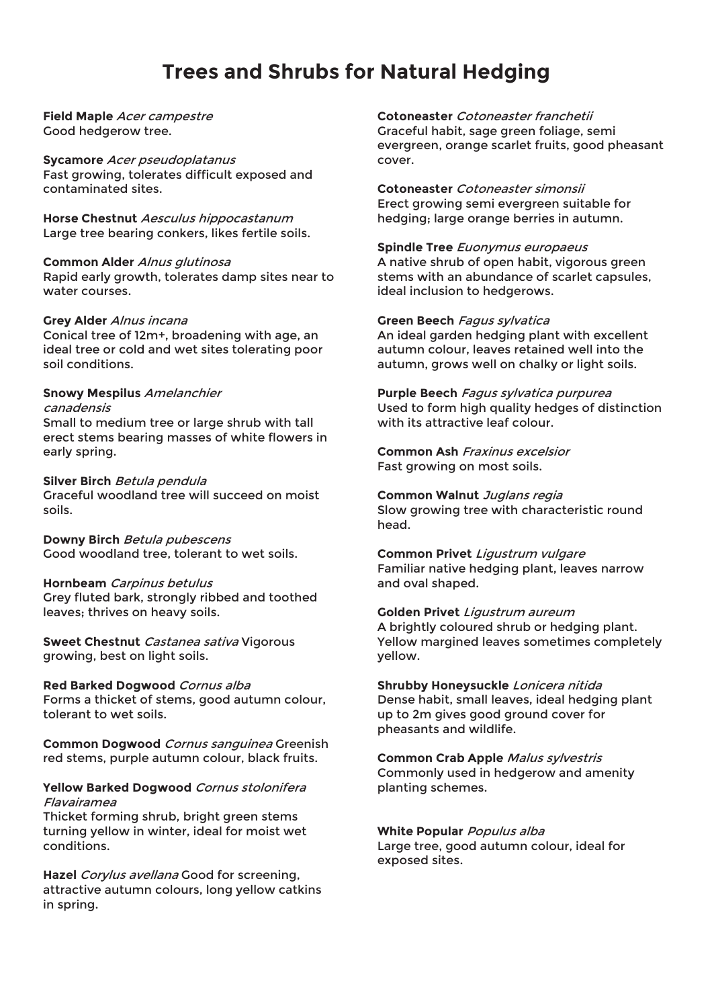# **Trees and Shrubs for Natural Hedging**

**Field Maple** Acer campestre Good hedgerow tree.

#### **Sycamore** Acer pseudoplatanus

Fast growing, tolerates difficult exposed and contaminated sites.

**Horse Chestnut** Aesculus hippocastanum Large tree bearing conkers, likes fertile soils.

#### **Common Alder** Alnus glutinosa

Rapid early growth, tolerates damp sites near to water courses.

## **Grey Alder** Alnus incana

Conical tree of 12m+, broadening with age, an ideal tree or cold and wet sites tolerating poor soil conditions.

#### **Snowy Mespilus** Amelanchier canadensis

Small to medium tree or large shrub with tall erect stems bearing masses of white flowers in early spring.

#### **Silver Birch** Betula pendula

Graceful woodland tree will succeed on moist soils.

**Downy Birch** Betula pubescens Good woodland tree, tolerant to wet soils.

## **Hornbeam** Carpinus betulus

Grey fluted bark, strongly ribbed and toothed leaves; thrives on heavy soils.

**Sweet Chestnut** Castanea sativa Vigorous growing, best on light soils.

#### **Red Barked Dogwood** Cornus alba

Forms a thicket of stems, good autumn colour, tolerant to wet soils.

**Common Dogwood** Cornus sanguinea Greenish red stems, purple autumn colour, black fruits.

### **Yellow Barked Dogwood** Cornus stolonifera Flavairamea

Thicket forming shrub, bright green stems turning yellow in winter, ideal for moist wet conditions.

**Hazel** Corylus avellana Good for screening, attractive autumn colours, long yellow catkins in spring.

**Cotoneaster** Cotoneaster franchetii Graceful habit, sage green foliage, semi evergreen, orange scarlet fruits, good pheasant cover.

**Cotoneaster** Cotoneaster simonsii Erect growing semi evergreen suitable for hedging; large orange berries in autumn.

**Spindle Tree** Euonymus europaeus A native shrub of open habit, vigorous green stems with an abundance of scarlet capsules, ideal inclusion to hedgerows.

#### **Green Beech** Fagus sylvatica

An ideal garden hedging plant with excellent autumn colour, leaves retained well into the autumn, grows well on chalky or light soils.

**Purple Beech** Fagus sylvatica purpurea Used to form high quality hedges of distinction with its attractive leaf colour.

**Common Ash** Fraxinus excelsior Fast growing on most soils.

**Common Walnut** Juglans regia Slow growing tree with characteristic round head.

**Common Privet** Ligustrum vulgare Familiar native hedging plant, leaves narrow and oval shaped.

## **Golden Privet** Ligustrum aureum

A brightly coloured shrub or hedging plant. Yellow margined leaves sometimes completely yellow.

**Shrubby Honeysuckle** Lonicera nitida Dense habit, small leaves, ideal hedging plant up to 2m gives good ground cover for pheasants and wildlife.

**Common Crab Apple** Malus sylvestris Commonly used in hedgerow and amenity planting schemes.

**White Popular** Populus alba Large tree, good autumn colour, ideal for exposed sites.